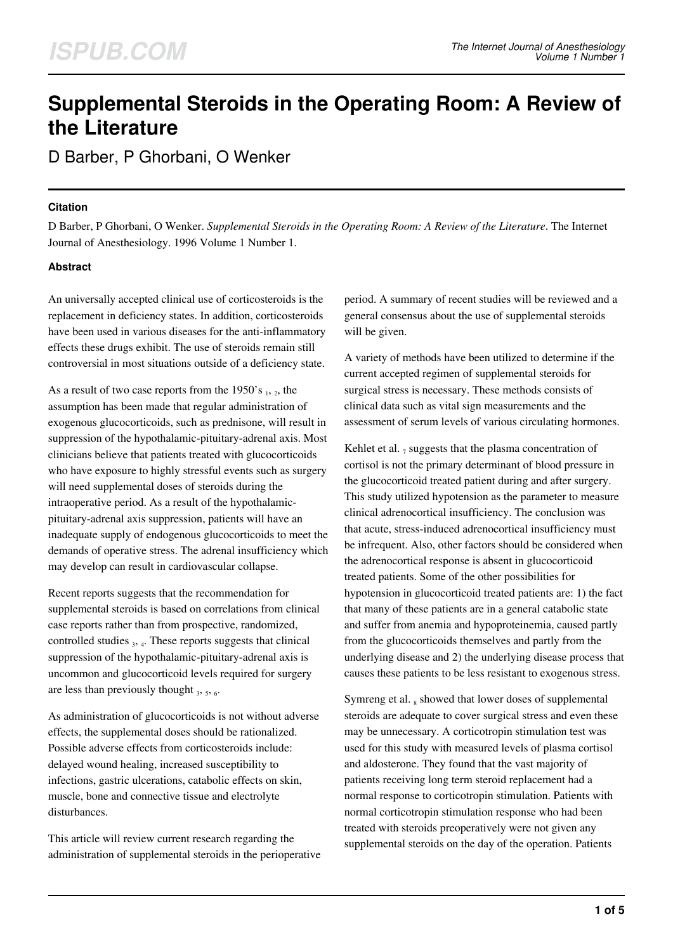# **Supplemental Steroids in the Operating Room: A Review of the Literature**

D Barber, P Ghorbani, O Wenker

### **Citation**

D Barber, P Ghorbani, O Wenker. *Supplemental Steroids in the Operating Room: A Review of the Literature*. The Internet Journal of Anesthesiology. 1996 Volume 1 Number 1.

# **Abstract**

An universally accepted clinical use of corticosteroids is the replacement in deficiency states. In addition, corticosteroids have been used in various diseases for the anti-inflammatory effects these drugs exhibit. The use of steroids remain still controversial in most situations outside of a deficiency state.

As a result of two case reports from the 1950's  $_1$ ,  $_2$ , the assumption has been made that regular administration of exogenous glucocorticoids, such as prednisone, will result in suppression of the hypothalamic-pituitary-adrenal axis. Most clinicians believe that patients treated with glucocorticoids who have exposure to highly stressful events such as surgery will need supplemental doses of steroids during the intraoperative period. As a result of the hypothalamicpituitary-adrenal axis suppression, patients will have an inadequate supply of endogenous glucocorticoids to meet the demands of operative stress. The adrenal insufficiency which may develop can result in cardiovascular collapse.

Recent reports suggests that the recommendation for supplemental steroids is based on correlations from clinical case reports rather than from prospective, randomized, controlled studies  $_3$ ,  $_4$ . These reports suggests that clinical suppression of the hypothalamic-pituitary-adrenal axis is uncommon and glucocorticoid levels required for surgery are less than previously thought  $_3$ ,  $_5$ ,  $_6$ .

As administration of glucocorticoids is not without adverse effects, the supplemental doses should be rationalized. Possible adverse effects from corticosteroids include: delayed wound healing, increased susceptibility to infections, gastric ulcerations, catabolic effects on skin, muscle, bone and connective tissue and electrolyte disturbances.

This article will review current research regarding the administration of supplemental steroids in the perioperative period. A summary of recent studies will be reviewed and a general consensus about the use of supplemental steroids will be given.

A variety of methods have been utilized to determine if the current accepted regimen of supplemental steroids for surgical stress is necessary. These methods consists of clinical data such as vital sign measurements and the assessment of serum levels of various circulating hormones.

Kehlet et al.  $_7$  suggests that the plasma concentration of cortisol is not the primary determinant of blood pressure in the glucocorticoid treated patient during and after surgery. This study utilized hypotension as the parameter to measure clinical adrenocortical insufficiency. The conclusion was that acute, stress-induced adrenocortical insufficiency must be infrequent. Also, other factors should be considered when the adrenocortical response is absent in glucocorticoid treated patients. Some of the other possibilities for hypotension in glucocorticoid treated patients are: 1) the fact that many of these patients are in a general catabolic state and suffer from anemia and hypoproteinemia, caused partly from the glucocorticoids themselves and partly from the underlying disease and 2) the underlying disease process that causes these patients to be less resistant to exogenous stress.

Symreng et al. 8 showed that lower doses of supplemental steroids are adequate to cover surgical stress and even these may be unnecessary. A corticotropin stimulation test was used for this study with measured levels of plasma cortisol and aldosterone. They found that the vast majority of patients receiving long term steroid replacement had a normal response to corticotropin stimulation. Patients with normal corticotropin stimulation response who had been treated with steroids preoperatively were not given any supplemental steroids on the day of the operation. Patients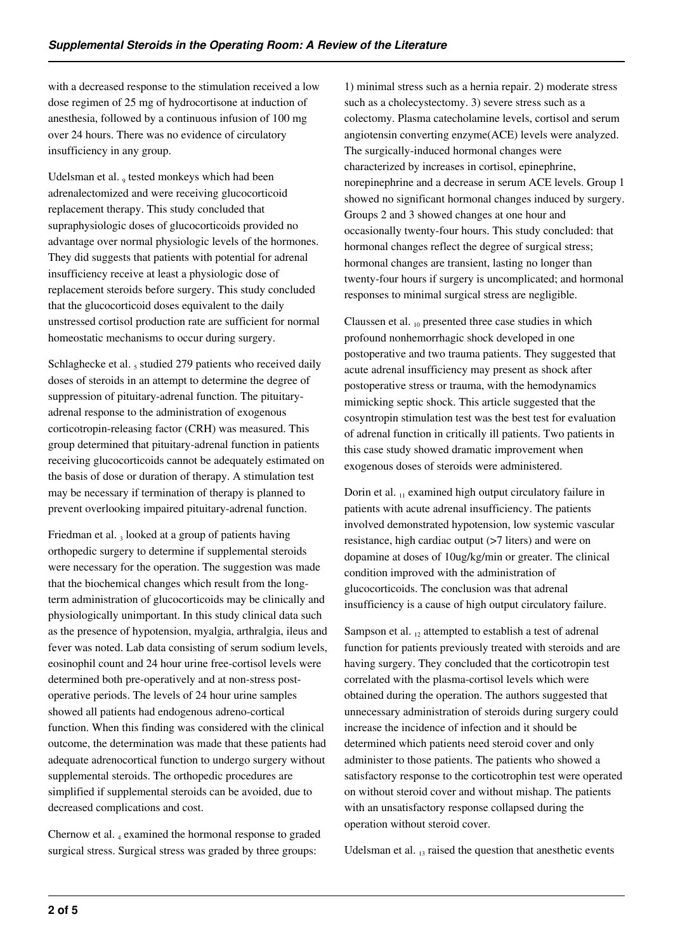with a decreased response to the stimulation received a low dose regimen of 25 mg of hydrocortisone at induction of anesthesia, followed by a continuous infusion of 100 mg over 24 hours. There was no evidence of circulatory insufficiency in any group.

Udelsman et al., tested monkeys which had been adrenalectomized and were receiving glucocorticoid replacement therapy. This study concluded that supraphysiologic doses of glucocorticoids provided no advantage over normal physiologic levels of the hormones. They did suggests that patients with potential for adrenal insufficiency receive at least a physiologic dose of replacement steroids before surgery. This study concluded that the glucocorticoid doses equivalent to the daily unstressed cortisol production rate are sufficient for normal homeostatic mechanisms to occur during surgery.

Schlaghecke et al.  $_5$  studied 279 patients who received daily doses of steroids in an attempt to determine the degree of suppression of pituitary-adrenal function. The pituitaryadrenal response to the administration of exogenous corticotropin-releasing factor (CRH) was measured. This group determined that pituitary-adrenal function in patients receiving glucocorticoids cannot be adequately estimated on the basis of dose or duration of therapy. A stimulation test may be necessary if termination of therapy is planned to prevent overlooking impaired pituitary-adrenal function.

Friedman et al. 3 looked at a group of patients having orthopedic surgery to determine if supplemental steroids were necessary for the operation. The suggestion was made that the biochemical changes which result from the longterm administration of glucocorticoids may be clinically and physiologically unimportant. In this study clinical data such as the presence of hypotension, myalgia, arthralgia, ileus and fever was noted. Lab data consisting of serum sodium levels, eosinophil count and 24 hour urine free-cortisol levels were determined both pre-operatively and at non-stress postoperative periods. The levels of 24 hour urine samples showed all patients had endogenous adreno-cortical function. When this finding was considered with the clinical outcome, the determination was made that these patients had adequate adrenocortical function to undergo surgery without supplemental steroids. The orthopedic procedures are simplified if supplemental steroids can be avoided, due to decreased complications and cost.

Chernow et al. 4 examined the hormonal response to graded surgical stress. Surgical stress was graded by three groups:

1) minimal stress such as a hernia repair. 2) moderate stress such as a cholecystectomy. 3) severe stress such as a colectomy. Plasma catecholamine levels, cortisol and serum angiotensin converting enzyme(ACE) levels were analyzed. The surgically-induced hormonal changes were characterized by increases in cortisol, epinephrine, norepinephrine and a decrease in serum ACE levels. Group 1 showed no significant hormonal changes induced by surgery. Groups 2 and 3 showed changes at one hour and occasionally twenty-four hours. This study concluded: that hormonal changes reflect the degree of surgical stress; hormonal changes are transient, lasting no longer than twenty-four hours if surgery is uncomplicated; and hormonal responses to minimal surgical stress are negligible.

Claussen et al.  $_{10}$  presented three case studies in which profound nonhemorrhagic shock developed in one postoperative and two trauma patients. They suggested that acute adrenal insufficiency may present as shock after postoperative stress or trauma, with the hemodynamics mimicking septic shock. This article suggested that the cosyntropin stimulation test was the best test for evaluation of adrenal function in critically ill patients. Two patients in this case study showed dramatic improvement when exogenous doses of steroids were administered.

Dorin et al.  $_{11}$  examined high output circulatory failure in patients with acute adrenal insufficiency. The patients involved demonstrated hypotension, low systemic vascular resistance, high cardiac output (>7 liters) and were on dopamine at doses of 10ug/kg/min or greater. The clinical condition improved with the administration of glucocorticoids. The conclusion was that adrenal insufficiency is a cause of high output circulatory failure.

Sampson et al.  $_{12}$  attempted to establish a test of adrenal function for patients previously treated with steroids and are having surgery. They concluded that the corticotropin test correlated with the plasma-cortisol levels which were obtained during the operation. The authors suggested that unnecessary administration of steroids during surgery could increase the incidence of infection and it should be determined which patients need steroid cover and only administer to those patients. The patients who showed a satisfactory response to the corticotrophin test were operated on without steroid cover and without mishap. The patients with an unsatisfactory response collapsed during the operation without steroid cover.

Udelsman et al.  $_{13}$  raised the question that anesthetic events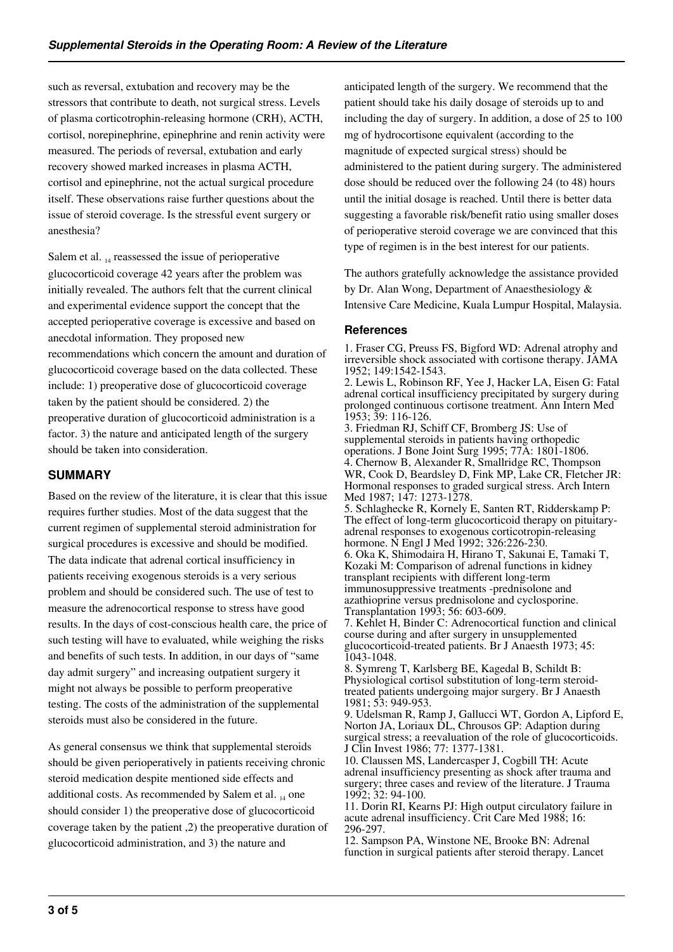such as reversal, extubation and recovery may be the stressors that contribute to death, not surgical stress. Levels of plasma corticotrophin-releasing hormone (CRH), ACTH, cortisol, norepinephrine, epinephrine and renin activity were measured. The periods of reversal, extubation and early recovery showed marked increases in plasma ACTH, cortisol and epinephrine, not the actual surgical procedure itself. These observations raise further questions about the issue of steroid coverage. Is the stressful event surgery or anesthesia?

Salem et al.  $_{14}$  reassessed the issue of perioperative glucocorticoid coverage 42 years after the problem was initially revealed. The authors felt that the current clinical and experimental evidence support the concept that the accepted perioperative coverage is excessive and based on anecdotal information. They proposed new recommendations which concern the amount and duration of glucocorticoid coverage based on the data collected. These include: 1) preoperative dose of glucocorticoid coverage taken by the patient should be considered. 2) the preoperative duration of glucocorticoid administration is a factor. 3) the nature and anticipated length of the surgery should be taken into consideration.

# **SUMMARY**

Based on the review of the literature, it is clear that this issue requires further studies. Most of the data suggest that the current regimen of supplemental steroid administration for surgical procedures is excessive and should be modified. The data indicate that adrenal cortical insufficiency in patients receiving exogenous steroids is a very serious problem and should be considered such. The use of test to measure the adrenocortical response to stress have good results. In the days of cost-conscious health care, the price of such testing will have to evaluated, while weighing the risks and benefits of such tests. In addition, in our days of "same day admit surgery" and increasing outpatient surgery it might not always be possible to perform preoperative testing. The costs of the administration of the supplemental steroids must also be considered in the future.

As general consensus we think that supplemental steroids should be given perioperatively in patients receiving chronic steroid medication despite mentioned side effects and additional costs. As recommended by Salem et al.  $_{14}$  one should consider 1) the preoperative dose of glucocorticoid coverage taken by the patient ,2) the preoperative duration of glucocorticoid administration, and 3) the nature and

anticipated length of the surgery. We recommend that the patient should take his daily dosage of steroids up to and including the day of surgery. In addition, a dose of 25 to 100 mg of hydrocortisone equivalent (according to the magnitude of expected surgical stress) should be administered to the patient during surgery. The administered dose should be reduced over the following 24 (to 48) hours until the initial dosage is reached. Until there is better data suggesting a favorable risk/benefit ratio using smaller doses of perioperative steroid coverage we are convinced that this type of regimen is in the best interest for our patients.

The authors gratefully acknowledge the assistance provided by Dr. Alan Wong, Department of Anaesthesiology & Intensive Care Medicine, Kuala Lumpur Hospital, Malaysia.

# **References**

1. Fraser CG, Preuss FS, Bigford WD: Adrenal atrophy and irreversible shock associated with cortisone therapy. JAMA 1952; 149:1542-1543.

2. Lewis L, Robinson RF, Yee J, Hacker LA, Eisen G: Fatal adrenal cortical insufficiency precipitated by surgery during prolonged continuous cortisone treatment. Ann Intern Med 1953; 39: 116-126.

3. Friedman RJ, Schiff CF, Bromberg JS: Use of supplemental steroids in patients having orthopedic operations. J Bone Joint Surg 1995; 77A: 1801-1806. 4. Chernow B, Alexander R, Smallridge RC, Thompson WR, Cook D, Beardsley D, Fink MP, Lake CR, Fletcher JR: Hormonal responses to graded surgical stress. Arch Intern Med 1987; 147: 1273-1278. 5. Schlaghecke R, Kornely E, Santen RT, Ridderskamp P:

The effect of long-term glucocorticoid therapy on pituitaryadrenal responses to exogenous corticotropin-releasing hormone. N Engl J Med 1992; 326:226-230.

6. Oka K, Shimodaira H, Hirano T, Sakunai E, Tamaki T, Kozaki M: Comparison of adrenal functions in kidney transplant recipients with different long-term immunosuppressive treatments -prednisolone and azathioprine versus prednisolone and cyclosporine. Transplantation 1993; 56: 603-609.

7. Kehlet H, Binder C: Adrenocortical function and clinical course during and after surgery in unsupplemented glucocorticoid-treated patients. Br J Anaesth 1973; 45: 1043-1048.

8. Symreng T, Karlsberg BE, Kagedal B, Schildt B: Physiological cortisol substitution of long-term steroidtreated patients undergoing major surgery. Br J Anaesth 1981; 53: 949-953.

9. Udelsman R, Ramp J, Gallucci WT, Gordon A, Lipford E, Norton JA, Loriaux DL, Chrousos GP: Adaption during surgical stress; a reevaluation of the role of glucocorticoids. J Clin Invest 1986; 77: 1377-1381.

10. Claussen MS, Landercasper J, Cogbill TH: Acute adrenal insufficiency presenting as shock after trauma and surgery; three cases and review of the literature. J Trauma 1992; 32: 94-100.

11. Dorin RI, Kearns PJ: High output circulatory failure in acute adrenal insufficiency. Crit Care Med 1988; 16: 296-297.

12. Sampson PA, Winstone NE, Brooke BN: Adrenal function in surgical patients after steroid therapy. Lancet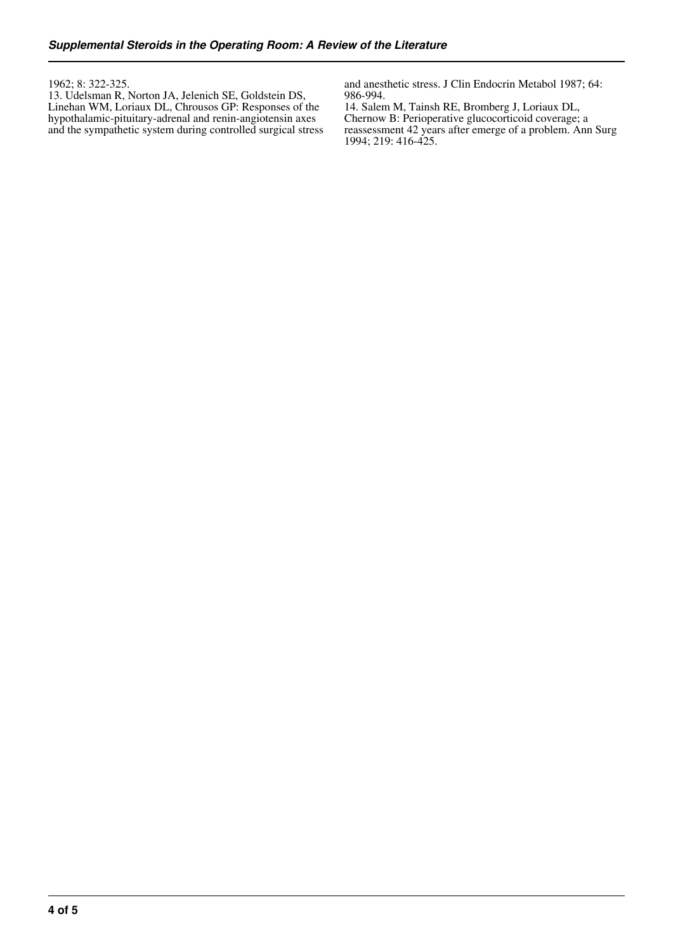#### 1962; 8: 322-325.

13. Udelsman R, Norton JA, Jelenich SE, Goldstein DS, Linehan WM, Loriaux DL, Chrousos GP: Responses of the hypothalamic-pituitary-adrenal and renin-angiotensin axes and the sympathetic system during controlled surgical stress and anesthetic stress. J Clin Endocrin Metabol 1987; 64: 986-994.

14. Salem M, Tainsh RE, Bromberg J, Loriaux DL, Chernow B: Perioperative glucocorticoid coverage; a reassessment 42 years after emerge of a problem. Ann Surg 1994; 219: 416-425.